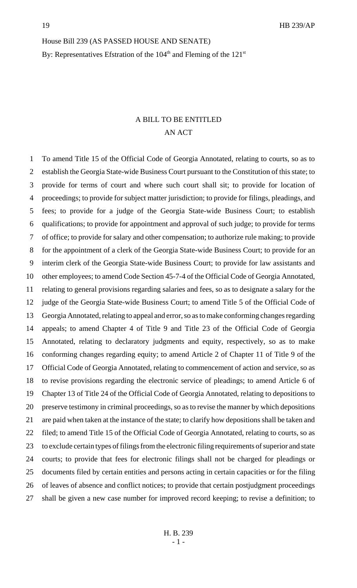House Bill 239 (AS PASSED HOUSE AND SENATE)

By: Representatives Efstration of the  $104<sup>th</sup>$  and Fleming of the  $121<sup>st</sup>$ 

# A BILL TO BE ENTITLED AN ACT

 To amend Title 15 of the Official Code of Georgia Annotated, relating to courts, so as to establish the Georgia State-wide Business Court pursuant to the Constitution of this state; to provide for terms of court and where such court shall sit; to provide for location of proceedings; to provide for subject matter jurisdiction; to provide for filings, pleadings, and fees; to provide for a judge of the Georgia State-wide Business Court; to establish qualifications; to provide for appointment and approval of such judge; to provide for terms of office; to provide for salary and other compensation; to authorize rule making; to provide for the appointment of a clerk of the Georgia State-wide Business Court; to provide for an interim clerk of the Georgia State-wide Business Court; to provide for law assistants and other employees; to amend Code Section 45-7-4 of the Official Code of Georgia Annotated, relating to general provisions regarding salaries and fees, so as to designate a salary for the judge of the Georgia State-wide Business Court; to amend Title 5 of the Official Code of Georgia Annotated, relating to appeal and error, so as to make conforming changes regarding appeals; to amend Chapter 4 of Title 9 and Title 23 of the Official Code of Georgia Annotated, relating to declaratory judgments and equity, respectively, so as to make conforming changes regarding equity; to amend Article 2 of Chapter 11 of Title 9 of the Official Code of Georgia Annotated, relating to commencement of action and service, so as to revise provisions regarding the electronic service of pleadings; to amend Article 6 of Chapter 13 of Title 24 of the Official Code of Georgia Annotated, relating to depositions to preserve testimony in criminal proceedings, so as to revise the manner by which depositions are paid when taken at the instance of the state; to clarify how depositions shall be taken and filed; to amend Title 15 of the Official Code of Georgia Annotated, relating to courts, so as to exclude certain types of filings from the electronic filing requirements of superior and state courts; to provide that fees for electronic filings shall not be charged for pleadings or documents filed by certain entities and persons acting in certain capacities or for the filing of leaves of absence and conflict notices; to provide that certain postjudgment proceedings shall be given a new case number for improved record keeping; to revise a definition; to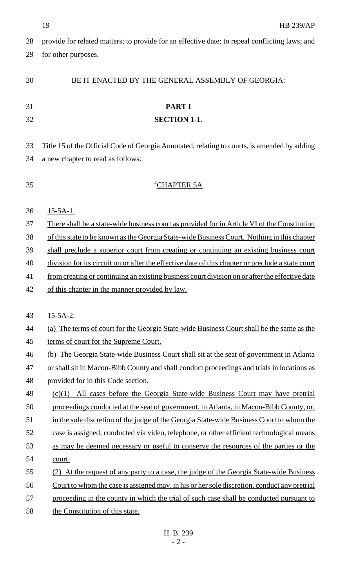|    | 19<br><b>HB 239/AP</b>                                                                            |
|----|---------------------------------------------------------------------------------------------------|
| 28 | provide for related matters; to provide for an effective date; to repeal conflicting laws; and    |
| 29 | for other purposes.                                                                               |
|    |                                                                                                   |
| 30 | BE IT ENACTED BY THE GENERAL ASSEMBLY OF GEORGIA:                                                 |
|    |                                                                                                   |
| 31 | <b>PART I</b>                                                                                     |
| 32 | <b>SECTION 1-1.</b>                                                                               |
|    |                                                                                                   |
| 33 | Title 15 of the Official Code of Georgia Annotated, relating to courts, is amended by adding      |
| 34 | a new chapter to read as follows:                                                                 |
|    |                                                                                                   |
| 35 | "CHAPTER 5A                                                                                       |
| 36 | $15-5A-1.$                                                                                        |
| 37 | There shall be a state-wide business court as provided for in Article VI of the Constitution      |
| 38 | of this state to be known as the Georgia State-wide Business Court. Nothing in this chapter       |
| 39 | shall preclude a superior court from creating or continuing an existing business court            |
| 40 | division for its circuit on or after the effective date of this chapter or preclude a state court |
| 41 | from creating or continuing an existing business court division on or after the effective date    |
| 42 | of this chapter in the manner provided by law.                                                    |
|    |                                                                                                   |
| 43 | $15-5A-2.$                                                                                        |
| 44 | (a) The terms of court for the Georgia State-wide Business Court shall be the same as the         |
| 45 | terms of court for the Supreme Court.                                                             |
| 46 | (b) The Georgia State-wide Business Court shall sit at the seat of government in Atlanta          |
| 47 | or shall sit in Macon-Bibb County and shall conduct proceedings and trials in locations as        |
| 48 | provided for in this Code section.                                                                |
| 49 | $(c)(1)$ All cases before the Georgia State-wide Business Court may have pretrial                 |
| 50 | proceedings conducted at the seat of government, in Atlanta, in Macon-Bibb County, or,            |
| 51 | in the sole discretion of the judge of the Georgia State-wide Business Court to whom the          |
| 52 | case is assigned, conducted via video, telephone, or other efficient technological means          |
| 53 | as may be deemed necessary or useful to conserve the resources of the parties or the              |
| 54 | court.                                                                                            |
| 55 | (2) At the request of any party to a case, the judge of the Georgia State-wide Business           |
| 56 | Court to whom the case is assigned may, in his or her sole discretion, conduct any pretrial       |
| 57 | proceeding in the county in which the trial of such case shall be conducted pursuant to           |
| 58 | the Constitution of this state.                                                                   |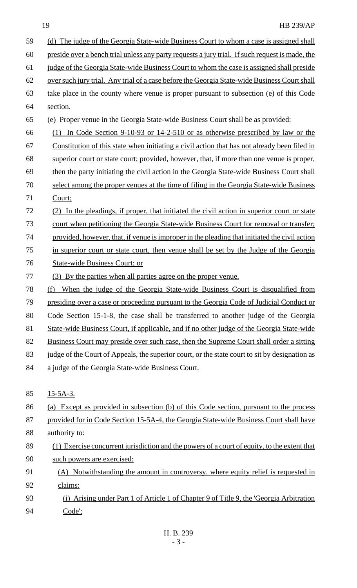### 19 HB 239/AP

| 59 | (d) The judge of the Georgia State-wide Business Court to whom a case is assigned shall         |
|----|-------------------------------------------------------------------------------------------------|
| 60 | preside over a bench trial unless any party requests a jury trial. If such request is made, the |
| 61 | judge of the Georgia State-wide Business Court to whom the case is assigned shall preside       |
| 62 | over such jury trial. Any trial of a case before the Georgia State-wide Business Court shall    |
| 63 | take place in the county where venue is proper pursuant to subsection (e) of this Code          |
| 64 | section.                                                                                        |
| 65 | (e) Proper venue in the Georgia State-wide Business Court shall be as provided:                 |
| 66 | (1) In Code Section 9-10-93 or 14-2-510 or as otherwise prescribed by law or the                |
| 67 | Constitution of this state when initiating a civil action that has not already been filed in    |
| 68 | superior court or state court; provided, however, that, if more than one venue is proper,       |
| 69 | then the party initiating the civil action in the Georgia State-wide Business Court shall       |
| 70 | select among the proper venues at the time of filing in the Georgia State-wide Business         |
| 71 | Court;                                                                                          |
| 72 | In the pleadings, if proper, that initiated the civil action in superior court or state         |
| 73 | court when petitioning the Georgia State-wide Business Court for removal or transfer;           |
| 74 | provided, however, that, if venue is improper in the pleading that initiated the civil action   |
| 75 | in superior court or state court, then venue shall be set by the Judge of the Georgia           |
| 76 | <b>State-wide Business Court; or</b>                                                            |
| 77 | (3) By the parties when all parties agree on the proper venue.                                  |
| 78 | When the judge of the Georgia State-wide Business Court is disqualified from<br>(f)             |
| 79 | presiding over a case or proceeding pursuant to the Georgia Code of Judicial Conduct or         |
| 80 | Code Section 15-1-8, the case shall be transferred to another judge of the Georgia              |
| 81 | State-wide Business Court, if applicable, and if no other judge of the Georgia State-wide       |
| 82 | Business Court may preside over such case, then the Supreme Court shall order a sitting         |
| 83 | judge of the Court of Appeals, the superior court, or the state court to sit by designation as  |
| 84 | a judge of the Georgia State-wide Business Court.                                               |
|    |                                                                                                 |
| 85 | $15 - 5A - 3.$                                                                                  |
| 86 | (a) Except as provided in subsection (b) of this Code section, pursuant to the process          |
| 87 | provided for in Code Section 15-5A-4, the Georgia State-wide Business Court shall have          |
| 88 | authority to:                                                                                   |
| 89 | (1) Exercise concurrent jurisdiction and the powers of a court of equity, to the extent that    |
| 90 | such powers are exercised:                                                                      |
| 91 | (A) Notwithstanding the amount in controversy, where equity relief is requested in              |
| 92 | claims:                                                                                         |
| 93 | (i) Arising under Part 1 of Article 1 of Chapter 9 of Title 9, the 'Georgia Arbitration         |
| 94 | Code':                                                                                          |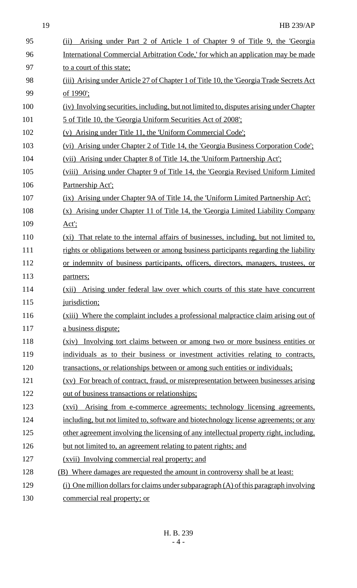| 95  | Arising under Part 2 of Article 1 of Chapter 9 of Title 9, the 'Georgia<br>(ii)           |
|-----|-------------------------------------------------------------------------------------------|
| 96  | International Commercial Arbitration Code,' for which an application may be made          |
| 97  | to a court of this state;                                                                 |
| 98  | (iii) Arising under Article 27 of Chapter 1 of Title 10, the 'Georgia Trade Secrets Act   |
| 99  | of 1990;                                                                                  |
| 100 | (iv) Involving securities, including, but not limited to, disputes arising under Chapter  |
| 101 | 5 of Title 10, the 'Georgia Uniform Securities Act of 2008';                              |
| 102 | (v) Arising under Title 11, the 'Uniform Commercial Code';                                |
| 103 | (vi) Arising under Chapter 2 of Title 14, the 'Georgia Business Corporation Code':        |
| 104 | (vii) Arising under Chapter 8 of Title 14, the 'Uniform Partnership Act';                 |
| 105 | (viii) Arising under Chapter 9 of Title 14, the 'Georgia Revised Uniform Limited          |
| 106 | Partnership Act':                                                                         |
| 107 | (ix) Arising under Chapter 9A of Title 14, the 'Uniform Limited Partnership Act';         |
| 108 | (x) Arising under Chapter 11 of Title 14, the 'Georgia Limited Liability Company          |
| 109 | $Act$ :                                                                                   |
| 110 | (xi) That relate to the internal affairs of businesses, including, but not limited to,    |
| 111 | rights or obligations between or among business participants regarding the liability      |
| 112 | or indemnity of business participants, officers, directors, managers, trustees, or        |
| 113 | partners;                                                                                 |
| 114 | Arising under federal law over which courts of this state have concurrent<br>(xii)        |
| 115 | jurisdiction;                                                                             |
| 116 | (xiii) Where the complaint includes a professional malpractice claim arising out of       |
| 117 | a business dispute;                                                                       |
| 118 | Involving tort claims between or among two or more business entities or<br>(xiv)          |
| 119 | individuals as to their business or investment activities relating to contracts,          |
| 120 | transactions, or relationships between or among such entities or individuals;             |
| 121 | (xv) For breach of contract, fraud, or misrepresentation between businesses arising       |
| 122 | out of business transactions or relationships;                                            |
| 123 | Arising from e-commerce agreements; technology licensing agreements,<br>(xvi)             |
| 124 | including, but not limited to, software and biotechnology license agreements; or any      |
| 125 | other agreement involving the licensing of any intellectual property right, including,    |
| 126 | but not limited to, an agreement relating to patent rights; and                           |
| 127 | (xvii) Involving commercial real property; and                                            |
| 128 | (B) Where damages are requested the amount in controversy shall be at least:              |
| 129 | $(i)$ One million dollars for claims under subparagraph $(A)$ of this paragraph involving |
| 130 | commercial real property; or                                                              |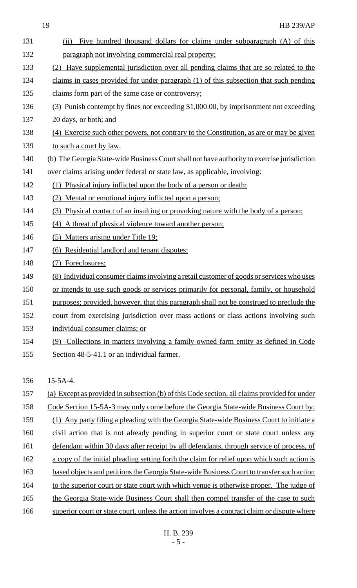| 131 | Five hundred thousand dollars for claims under subparagraph (A) of this<br>(ii)              |
|-----|----------------------------------------------------------------------------------------------|
| 132 | paragraph not involving commercial real property;                                            |
| 133 | (2) Have supplemental jurisdiction over all pending claims that are so related to the        |
| 134 | claims in cases provided for under paragraph (1) of this subsection that such pending        |
| 135 | claims form part of the same case or controversy;                                            |
| 136 | (3) Punish contempt by fines not exceeding \$1,000.00, by imprisonment not exceeding         |
| 137 | 20 days, or both; and                                                                        |
| 138 | (4) Exercise such other powers, not contrary to the Constitution, as are or may be given     |
| 139 | to such a court by law.                                                                      |
| 140 | (b) The Georgia State-wide Business Court shall not have authority to exercise jurisdiction  |
| 141 | over claims arising under federal or state law, as applicable, involving:                    |
| 142 | (1) Physical injury inflicted upon the body of a person or death;                            |
| 143 | (2) Mental or emotional injury inflicted upon a person;                                      |
| 144 | (3) Physical contact of an insulting or provoking nature with the body of a person;          |
| 145 | (4) A threat of physical violence toward another person;                                     |
| 146 | (5) Matters arising under Title 19;                                                          |
| 147 | (6) Residential landlord and tenant disputes;                                                |
| 148 | (7) Foreclosures;                                                                            |
| 149 | (8) Individual consumer claims involving a retail customer of goods or services who uses     |
| 150 | or intends to use such goods or services primarily for personal, family, or household        |
| 151 | purposes; provided, however, that this paragraph shall not be construed to preclude the      |
| 152 | court from exercising jurisdiction over mass actions or class actions involving such         |
| 153 | individual consumer claims; or                                                               |
| 154 | Collections in matters involving a family owned farm entity as defined in Code<br>(9)        |
| 155 | Section 48-5-41.1 or an individual farmer.                                                   |
|     |                                                                                              |
| 156 | $15-5A-4.$                                                                                   |
| 157 | (a) Except as provided in subsection (b) of this Code section, all claims provided for under |
| 158 | Code Section 15-5A-3 may only come before the Georgia State-wide Business Court by:          |
| 159 | (1) Any party filing a pleading with the Georgia State-wide Business Court to initiate a     |
| 160 | civil action that is not already pending in superior court or state court unless any         |
| 161 | defendant within 30 days after receipt by all defendants, through service of process, of     |
| 162 | a copy of the initial pleading setting forth the claim for relief upon which such action is  |
| 163 | based objects and petitions the Georgia State-wide Business Court to transfer such action    |
| 164 | to the superior court or state court with which venue is otherwise proper. The judge of      |
| 165 | the Georgia State-wide Business Court shall then compel transfer of the case to such         |
| 166 | superior court or state court, unless the action involves a contract claim or dispute where  |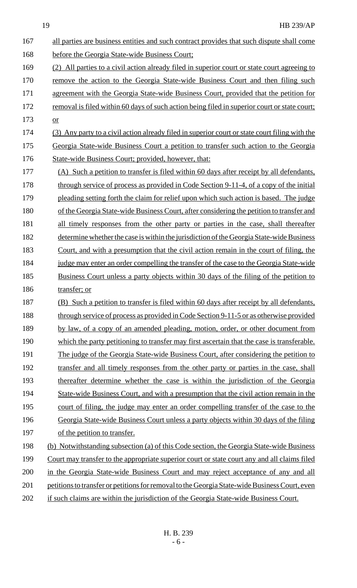| 167 | all parties are business entities and such contract provides that such dispute shall come      |
|-----|------------------------------------------------------------------------------------------------|
| 168 | before the Georgia State-wide Business Court;                                                  |
| 169 | (2) All parties to a civil action already filed in superior court or state court agreeing to   |
| 170 | remove the action to the Georgia State-wide Business Court and then filing such                |
| 171 | agreement with the Georgia State-wide Business Court, provided that the petition for           |
| 172 | removal is filed within 60 days of such action being filed in superior court or state court;   |
| 173 | or                                                                                             |
| 174 | (3) Any party to a civil action already filed in superior court or state court filing with the |
| 175 | Georgia State-wide Business Court a petition to transfer such action to the Georgia            |
| 176 | State-wide Business Court; provided, however, that:                                            |
| 177 | (A) Such a petition to transfer is filed within 60 days after receipt by all defendants,       |
| 178 | through service of process as provided in Code Section 9-11-4, of a copy of the initial        |
| 179 | pleading setting forth the claim for relief upon which such action is based. The judge         |
| 180 | of the Georgia State-wide Business Court, after considering the petition to transfer and       |
| 181 | all timely responses from the other party or parties in the case, shall thereafter             |
| 182 | determine whether the case is within the jurisdiction of the Georgia State-wide Business       |
| 183 | Court, and with a presumption that the civil action remain in the court of filing, the         |
| 184 | judge may enter an order compelling the transfer of the case to the Georgia State-wide         |
| 185 | <u>Business Court unless a party objects within 30 days of the filing of the petition to</u>   |
| 186 | transfer; or                                                                                   |
| 187 | (B) Such a petition to transfer is filed within 60 days after receipt by all defendants,       |
| 188 | through service of process as provided in Code Section 9-11-5 or as otherwise provided         |
| 189 | by law, of a copy of an amended pleading, motion, order, or other document from                |
| 190 | which the party petitioning to transfer may first ascertain that the case is transferable.     |
| 191 | The judge of the Georgia State-wide Business Court, after considering the petition to          |
| 192 | transfer and all timely responses from the other party or parties in the case, shall           |
| 193 | thereafter determine whether the case is within the jurisdiction of the Georgia                |
| 194 | State-wide Business Court, and with a presumption that the civil action remain in the          |
| 195 | court of filing, the judge may enter an order compelling transfer of the case to the           |
| 196 | Georgia State-wide Business Court unless a party objects within 30 days of the filing          |
| 197 | of the petition to transfer.                                                                   |
| 198 | (b) Notwithstanding subsection (a) of this Code section, the Georgia State-wide Business       |
| 199 | Court may transfer to the appropriate superior court or state court any and all claims filed   |
| 200 | in the Georgia State-wide Business Court and may reject acceptance of any and all              |
| 201 | petitions to transfer or petitions for removal to the Georgia State-wide Business Court, even  |
| 202 | if such claims are within the jurisdiction of the Georgia State-wide Business Court.           |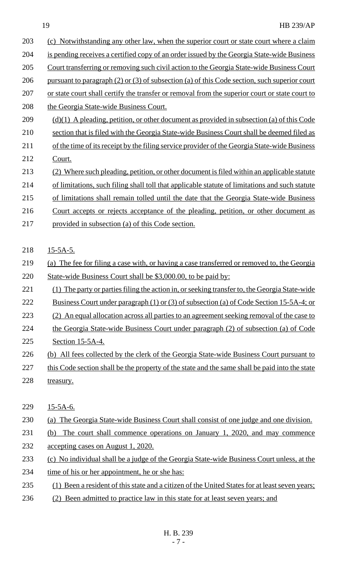| 203 | (c) Notwithstanding any other law, when the superior court or state court where a claim        |
|-----|------------------------------------------------------------------------------------------------|
| 204 | is pending receives a certified copy of an order issued by the Georgia State-wide Business     |
| 205 | Court transferring or removing such civil action to the Georgia State-wide Business Court      |
| 206 | pursuant to paragraph (2) or (3) of subsection (a) of this Code section, such superior court   |
| 207 | or state court shall certify the transfer or removal from the superior court or state court to |
| 208 | the Georgia State-wide Business Court.                                                         |
| 209 | $(d)(1)$ A pleading, petition, or other document as provided in subsection (a) of this Code    |
| 210 | section that is filed with the Georgia State-wide Business Court shall be deemed filed as      |
| 211 | of the time of its receipt by the filing service provider of the Georgia State-wide Business   |
| 212 | Court.                                                                                         |
| 213 | (2) Where such pleading, petition, or other document is filed within an applicable statute     |
| 214 | of limitations, such filing shall toll that applicable statute of limitations and such statute |
| 215 | of limitations shall remain tolled until the date that the Georgia State-wide Business         |
| 216 | Court accepts or rejects acceptance of the pleading, petition, or other document as            |
| 217 | provided in subsection (a) of this Code section.                                               |
|     |                                                                                                |
| 218 | $15-5A-5.$                                                                                     |
| 219 | (a) The fee for filing a case with, or having a case transferred or removed to, the Georgia    |
| 220 | State-wide Business Court shall be \$3,000.00, to be paid by:                                  |
| 221 | (1) The party or parties filing the action in, or seeking transfer to, the Georgia State-wide  |
| 222 | <u>Business Court under paragraph (1) or (3) of subsection (a) of Code Section 15-5A-4; or</u> |
| 223 | (2) An equal allocation across all parties to an agreement seeking removal of the case to      |
| 224 | the Georgia State-wide Business Court under paragraph (2) of subsection (a) of Code            |
| 225 | Section 15-5A-4.                                                                               |
| 226 | (b) All fees collected by the clerk of the Georgia State-wide Business Court pursuant to       |
| 227 | this Code section shall be the property of the state and the same shall be paid into the state |
| 228 | treasury.                                                                                      |
|     |                                                                                                |
| 229 | $15-5A-6.$                                                                                     |
| 230 | (a) The Georgia State-wide Business Court shall consist of one judge and one division.         |
| 231 | The court shall commence operations on January 1, 2020, and may commence<br>(b)                |
| 232 | <u>accepting cases on August 1, 2020.</u>                                                      |
| 233 | (c) No individual shall be a judge of the Georgia State-wide Business Court unless, at the     |
| 234 | time of his or her appointment, he or she has:                                                 |
| 235 | (1) Been a resident of this state and a citizen of the United States for at least seven years; |

236 (2) Been admitted to practice law in this state for at least seven years; and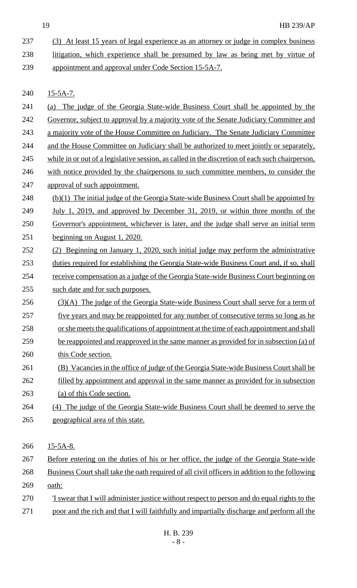- (3) At least 15 years of legal experience as an attorney or judge in complex business litigation, which experience shall be presumed by law as being met by virtue of appointment and approval under Code Section 15-5A-7. 15-5A-7. (a) The judge of the Georgia State-wide Business Court shall be appointed by the Governor, subject to approval by a majority vote of the Senate Judiciary Committee and 243 a majority vote of the House Committee on Judiciary. The Senate Judiciary Committee 244 and the House Committee on Judiciary shall be authorized to meet jointly or separately, 245 while in or out of a legislative session, as called in the discretion of each such chairperson, with notice provided by the chairpersons to such committee members, to consider the approval of such appointment. 248 (b)(1) The initial judge of the Georgia State-wide Business Court shall be appointed by *July 1, 2019, and approved by December 31, 2019, or within three months of the*  Governor's appointment, whichever is later, and the judge shall serve an initial term beginning on August 1, 2020. (2) Beginning on January 1, 2020, such initial judge may perform the administrative 253 duties required for establishing the Georgia State-wide Business Court and, if so, shall 254 receive compensation as a judge of the Georgia State-wide Business Court beginning on such date and for such purposes. 256 (3)(A) The judge of the Georgia State-wide Business Court shall serve for a term of 257 five years and may be reappointed for any number of consecutive terms so long as he or she meets the qualifications of appointment at the time of each appointment and shall be reappointed and reapproved in the same manner as provided for in subsection (a) of 260 this Code section. (B) Vacancies in the office of judge of the Georgia State-wide Business Court shall be filled by appointment and approval in the same manner as provided for in subsection (a) of this Code section. (4) The judge of the Georgia State-wide Business Court shall be deemed to serve the geographical area of this state. 266 15-5A-8. Before entering on the duties of his or her office, the judge of the Georgia State-wide Business Court shall take the oath required of all civil officers in addition to the following 269 <u>oath:</u> 'I swear that I will administer justice without respect to person and do equal rights to the
- 271 poor and the rich and that I will faithfully and impartially discharge and perform all the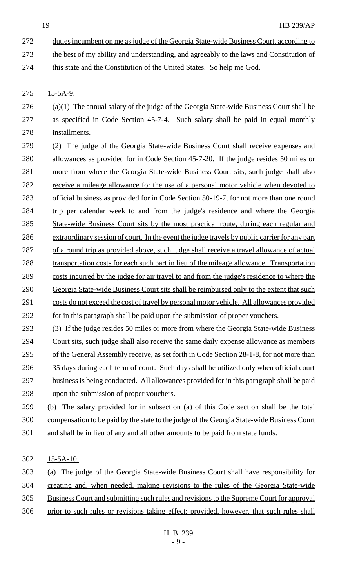- 272 duties incumbent on me as judge of the Georgia State-wide Business Court, according to
- 273 the best of my ability and understanding, and agreeably to the laws and Constitution of
- 274 this state and the Constitution of the United States. So help me God.'
- 15-5A-9.
- 276  $(a)(1)$  The annual salary of the judge of the Georgia State-wide Business Court shall be as specified in Code Section 45-7-4. Such salary shall be paid in equal monthly installments.
- (2) The judge of the Georgia State-wide Business Court shall receive expenses and allowances as provided for in Code Section 45-7-20. If the judge resides 50 miles or more from where the Georgia State-wide Business Court sits, such judge shall also 282 receive a mileage allowance for the use of a personal motor vehicle when devoted to official business as provided for in Code Section 50-19-7, for not more than one round 284 trip per calendar week to and from the judge's residence and where the Georgia 285 State-wide Business Court sits by the most practical route, during each regular and extraordinary session of court. In the event the judge travels by public carrier for any part of a round trip as provided above, such judge shall receive a travel allowance of actual 288 transportation costs for each such part in lieu of the mileage allowance. Transportation costs incurred by the judge for air travel to and from the judge's residence to where the Georgia State-wide Business Court sits shall be reimbursed only to the extent that such costs do not exceed the cost of travel by personal motor vehicle. All allowances provided 292 for in this paragraph shall be paid upon the submission of proper vouchers.
- (3) If the judge resides 50 miles or more from where the Georgia State-wide Business
- Court sits, such judge shall also receive the same daily expense allowance as members 295 of the General Assembly receive, as set forth in Code Section 28-1-8, for not more than
- 296 35 days during each term of court. Such days shall be utilized only when official court
- business is being conducted. All allowances provided for in this paragraph shall be paid 298 upon the submission of proper vouchers.
- (b) The salary provided for in subsection (a) of this Code section shall be the total compensation to be paid by the state to the judge of the Georgia State-wide Business Court
- and shall be in lieu of any and all other amounts to be paid from state funds.
- 15-5A-10.
- (a) The judge of the Georgia State-wide Business Court shall have responsibility for creating and, when needed, making revisions to the rules of the Georgia State-wide
- Business Court and submitting such rules and revisions to the Supreme Court for approval
- prior to such rules or revisions taking effect; provided, however, that such rules shall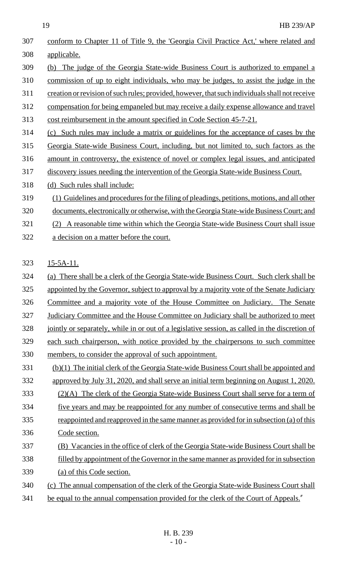| 307 |                                                                                                 |
|-----|-------------------------------------------------------------------------------------------------|
|     | conform to Chapter 11 of Title 9, the 'Georgia Civil Practice Act,' where related and           |
| 308 | applicable.                                                                                     |
| 309 | The judge of the Georgia State-wide Business Court is authorized to empanel a<br>(b)            |
| 310 | commission of up to eight individuals, who may be judges, to assist the judge in the            |
| 311 | creation or revision of such rules; provided, however, that such individuals shall not receive  |
| 312 | compensation for being empaneled but may receive a daily expense allowance and travel           |
| 313 | cost reimbursement in the amount specified in Code Section 45-7-21.                             |
| 314 | Such rules may include a matrix or guidelines for the acceptance of cases by the<br>(c)         |
| 315 | Georgia State-wide Business Court, including, but not limited to, such factors as the           |
| 316 | amount in controversy, the existence of novel or complex legal issues, and anticipated          |
| 317 | discovery issues needing the intervention of the Georgia State-wide Business Court.             |
| 318 | (d) Such rules shall include:                                                                   |
| 319 | (1) Guidelines and procedures for the filing of pleadings, petitions, motions, and all other    |
| 320 | documents, electronically or otherwise, with the Georgia State-wide Business Court; and         |
| 321 | A reasonable time within which the Georgia State-wide Business Court shall issue<br>(2)         |
| 322 | a decision on a matter before the court.                                                        |
|     |                                                                                                 |
| 323 | $15-5A-11.$                                                                                     |
| 324 | There shall be a clerk of the Georgia State-wide Business Court. Such clerk shall be<br>(a)     |
| 325 | appointed by the Governor, subject to approval by a majority vote of the Senate Judiciary       |
| 326 | Committee and a majority vote of the House Committee on Judiciary. The Senate                   |
| 327 | Judiciary Committee and the House Committee on Judiciary shall be authorized to meet            |
| 328 | jointly or separately, while in or out of a legislative session, as called in the discretion of |
| 329 | each such chairperson, with notice provided by the chairpersons to such committee               |
|     |                                                                                                 |
| 330 | members, to consider the approval of such appointment.                                          |
| 331 | (b)(1) The initial clerk of the Georgia State-wide Business Court shall be appointed and        |
| 332 | approved by July 31, 2020, and shall serve an initial term beginning on August 1, 2020.         |
| 333 | (2)(A) The clerk of the Georgia State-wide Business Court shall serve for a term of             |
| 334 | <u>five years and may be reappointed for any number of consecutive terms and shall be</u>       |
| 335 | reappointed and reapproved in the same manner as provided for in subsection (a) of this         |
| 336 | Code section.                                                                                   |
| 337 | (B) Vacancies in the office of clerk of the Georgia State-wide Business Court shall be          |
| 338 | filled by appointment of the Governor in the same manner as provided for in subsection          |
| 339 | (a) of this Code section.                                                                       |
| 340 | (c) The annual compensation of the clerk of the Georgia State-wide Business Court shall         |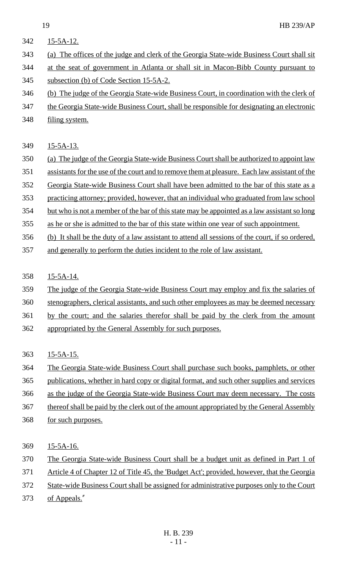- 15-5A-12.
- (a) The offices of the judge and clerk of the Georgia State-wide Business Court shall sit

 at the seat of government in Atlanta or shall sit in Macon-Bibb County pursuant to subsection (b) of Code Section 15-5A-2.

- (b) The judge of the Georgia State-wide Business Court, in coordination with the clerk of
- the Georgia State-wide Business Court, shall be responsible for designating an electronic
- filing system.

# 15-5A-13.

- (a) The judge of the Georgia State-wide Business Court shall be authorized to appoint law
- assistants for the use of the court and to remove them at pleasure. Each law assistant of the
- Georgia State-wide Business Court shall have been admitted to the bar of this state as a
- practicing attorney; provided, however, that an individual who graduated from law school
- but who is not a member of the bar of this state may be appointed as a law assistant so long
- as he or she is admitted to the bar of this state within one year of such appointment.
- (b) It shall be the duty of a law assistant to attend all sessions of the court, if so ordered,
- and generally to perform the duties incident to the role of law assistant.

# 15-5A-14.

- The judge of the Georgia State-wide Business Court may employ and fix the salaries of
- stenographers, clerical assistants, and such other employees as may be deemed necessary
- by the court; and the salaries therefor shall be paid by the clerk from the amount
- appropriated by the General Assembly for such purposes.

# 15-5A-15.

- The Georgia State-wide Business Court shall purchase such books, pamphlets, or other
- publications, whether in hard copy or digital format, and such other supplies and services
- as the judge of the Georgia State-wide Business Court may deem necessary. The costs
- 367 thereof shall be paid by the clerk out of the amount appropriated by the General Assembly
- for such purposes.
- 369 <u>15-5A-16.</u>
- The Georgia State-wide Business Court shall be a budget unit as defined in Part 1 of
- Article 4 of Chapter 12 of Title 45, the 'Budget Act'; provided, however, that the Georgia
- State-wide Business Court shall be assigned for administrative purposes only to the Court
- of Appeals."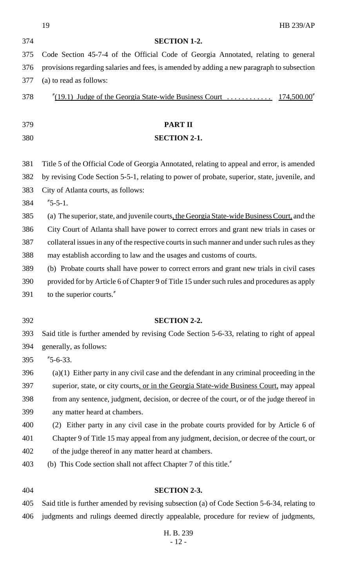|     | 19<br><b>HB 239/AP</b>                                                                        |
|-----|-----------------------------------------------------------------------------------------------|
| 374 | <b>SECTION 1-2.</b>                                                                           |
| 375 | Code Section 45-7-4 of the Official Code of Georgia Annotated, relating to general            |
| 376 | provisions regarding salaries and fees, is amended by adding a new paragraph to subsection    |
| 377 | (a) to read as follows:                                                                       |
| 378 |                                                                                               |
| 379 | <b>PART II</b>                                                                                |
| 380 | <b>SECTION 2-1.</b>                                                                           |
| 381 | Title 5 of the Official Code of Georgia Annotated, relating to appeal and error, is amended   |
| 382 | by revising Code Section 5-5-1, relating to power of probate, superior, state, juvenile, and  |
| 383 | City of Atlanta courts, as follows:                                                           |
| 384 | $"5-5-1.$                                                                                     |
| 385 | (a) The superior, state, and juvenile courts, the Georgia State-wide Business Court, and the  |
| 386 | City Court of Atlanta shall have power to correct errors and grant new trials in cases or     |
| 387 | collateral issues in any of the respective courts in such manner and under such rules as they |
| 388 | may establish according to law and the usages and customs of courts.                          |
| 389 | (b) Probate courts shall have power to correct errors and grant new trials in civil cases     |
| 390 | provided for by Article 6 of Chapter 9 of Title 15 under such rules and procedures as apply   |
| 391 | to the superior courts."                                                                      |
| 392 | <b>SECTION 2-2.</b>                                                                           |
| 393 | Said title is further amended by revising Code Section 5-6-33, relating to right of appeal    |
| 394 | generally, as follows:                                                                        |
| 395 | $"5-6-33.$                                                                                    |
| 396 | $(a)(1)$ Either party in any civil case and the defendant in any criminal proceeding in the   |
| 397 | superior, state, or city courts, or in the Georgia State-wide Business Court, may appeal      |
| 398 | from any sentence, judgment, decision, or decree of the court, or of the judge thereof in     |
| 399 | any matter heard at chambers.                                                                 |
| 400 | Either party in any civil case in the probate courts provided for by Article 6 of<br>(2)      |
| 401 | Chapter 9 of Title 15 may appeal from any judgment, decision, or decree of the court, or      |
| 402 | of the judge thereof in any matter heard at chambers.                                         |
| 403 | (b) This Code section shall not affect Chapter 7 of this title."                              |
| 404 | <b>SECTION 2-3.</b>                                                                           |
| 405 | Said title is further amended by revising subsection (a) of Code Section 5-6-34, relating to  |

H. B. 239 - 12 -

judgments and rulings deemed directly appealable, procedure for review of judgments,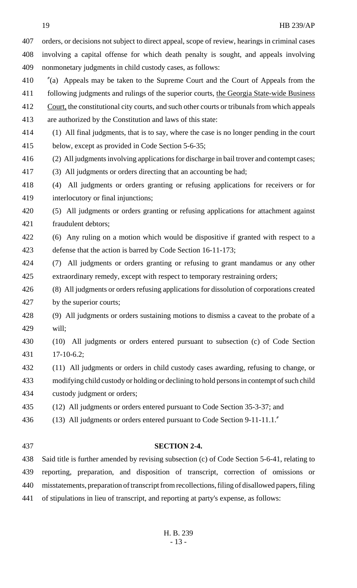19 HB 239/AP orders, or decisions not subject to direct appeal, scope of review, hearings in criminal cases involving a capital offense for which death penalty is sought, and appeals involving nonmonetary judgments in child custody cases, as follows: "(a) Appeals may be taken to the Supreme Court and the Court of Appeals from the following judgments and rulings of the superior courts, the Georgia State-wide Business 412 Court, the constitutional city courts, and such other courts or tribunals from which appeals are authorized by the Constitution and laws of this state: (1) All final judgments, that is to say, where the case is no longer pending in the court below, except as provided in Code Section 5-6-35; (2) All judgments involving applications for discharge in bail trover and contempt cases; (3) All judgments or orders directing that an accounting be had; (4) All judgments or orders granting or refusing applications for receivers or for interlocutory or final injunctions; (5) All judgments or orders granting or refusing applications for attachment against fraudulent debtors; (6) Any ruling on a motion which would be dispositive if granted with respect to a defense that the action is barred by Code Section 16-11-173; (7) All judgments or orders granting or refusing to grant mandamus or any other extraordinary remedy, except with respect to temporary restraining orders; (8) All judgments or orders refusing applications for dissolution of corporations created by the superior courts; (9) All judgments or orders sustaining motions to dismiss a caveat to the probate of a will; (10) All judgments or orders entered pursuant to subsection (c) of Code Section 17-10-6.2; (11) All judgments or orders in child custody cases awarding, refusing to change, or modifying child custody or holding or declining to hold persons in contempt of such child custody judgment or orders; (12) All judgments or orders entered pursuant to Code Section 35-3-37; and 436 (13) All judgments or orders entered pursuant to Code Section 9-11-11.1. **SECTION 2-4.**

 Said title is further amended by revising subsection (c) of Code Section 5-6-41, relating to reporting, preparation, and disposition of transcript, correction of omissions or misstatements, preparation of transcript from recollections, filing of disallowed papers, filing of stipulations in lieu of transcript, and reporting at party's expense, as follows: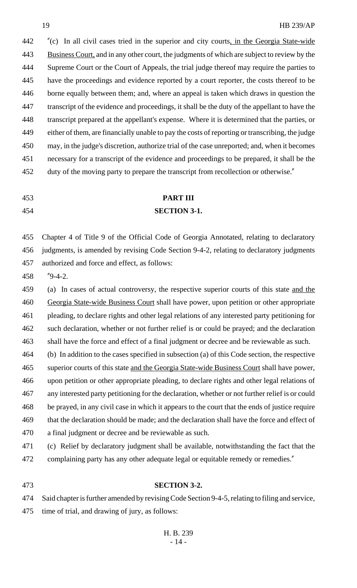"(c) In all civil cases tried in the superior and city courts, in the Georgia State-wide Business Court, and in any other court, the judgments of which are subject to review by the Supreme Court or the Court of Appeals, the trial judge thereof may require the parties to have the proceedings and evidence reported by a court reporter, the costs thereof to be borne equally between them; and, where an appeal is taken which draws in question the transcript of the evidence and proceedings, it shall be the duty of the appellant to have the transcript prepared at the appellant's expense. Where it is determined that the parties, or either of them, are financially unable to pay the costs of reporting or transcribing, the judge may, in the judge's discretion, authorize trial of the case unreported; and, when it becomes necessary for a transcript of the evidence and proceedings to be prepared, it shall be the 452 duty of the moving party to prepare the transcript from recollection or otherwise.

# **PART III SECTION 3-1.**

 Chapter 4 of Title 9 of the Official Code of Georgia Annotated, relating to declaratory judgments, is amended by revising Code Section 9-4-2, relating to declaratory judgments authorized and force and effect, as follows:

"9-4-2.

 (a) In cases of actual controversy, the respective superior courts of this state and the Georgia State-wide Business Court shall have power, upon petition or other appropriate pleading, to declare rights and other legal relations of any interested party petitioning for such declaration, whether or not further relief is or could be prayed; and the declaration shall have the force and effect of a final judgment or decree and be reviewable as such.

 (b) In addition to the cases specified in subsection (a) of this Code section, the respective superior courts of this state and the Georgia State-wide Business Court shall have power, upon petition or other appropriate pleading, to declare rights and other legal relations of any interested party petitioning for the declaration, whether or not further relief is or could be prayed, in any civil case in which it appears to the court that the ends of justice require that the declaration should be made; and the declaration shall have the force and effect of a final judgment or decree and be reviewable as such.

 (c) Relief by declaratory judgment shall be available, notwithstanding the fact that the 472 complaining party has any other adequate legal or equitable remedy or remedies."

#### **SECTION 3-2.**

Said chapter is further amended by revising Code Section 9-4-5, relating to filing and service,

time of trial, and drawing of jury, as follows: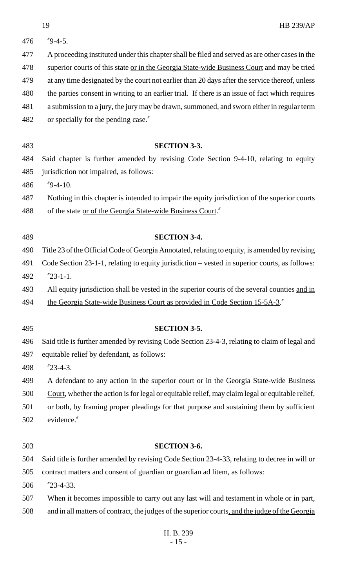| 476 | $^{\prime\prime}$ 9-4-5.                                                                         |
|-----|--------------------------------------------------------------------------------------------------|
| 477 | A proceeding instituted under this chapter shall be filed and served as are other cases in the   |
| 478 | superior courts of this state or in the Georgia State-wide Business Court and may be tried       |
| 479 | at any time designated by the court not earlier than 20 days after the service thereof, unless   |
| 480 | the parties consent in writing to an earlier trial. If there is an issue of fact which requires  |
| 481 | a submission to a jury, the jury may be drawn, summoned, and sworn either in regular term        |
| 482 | or specially for the pending case."                                                              |
|     |                                                                                                  |
| 483 | <b>SECTION 3-3.</b>                                                                              |
| 484 | Said chapter is further amended by revising Code Section 9-4-10, relating to equity              |
| 485 | jurisdiction not impaired, as follows:                                                           |
| 486 | $"9-4-10.$                                                                                       |
| 487 | Nothing in this chapter is intended to impair the equity jurisdiction of the superior courts     |
| 488 | of the state <u>or of the Georgia State-wide Business Court</u> ."                               |
| 489 | <b>SECTION 3-4.</b>                                                                              |
| 490 | Title 23 of the Official Code of Georgia Annotated, relating to equity, is amended by revising   |
| 491 | Code Section 23-1-1, relating to equity jurisdiction – vested in superior courts, as follows:    |
| 492 | $"23-1-1.$                                                                                       |
| 493 | All equity jurisdiction shall be vested in the superior courts of the several counties and in    |
| 494 | the Georgia State-wide Business Court as provided in Code Section 15-5A-3.                       |
| 495 | <b>SECTION 3-5.</b>                                                                              |
| 496 | Said title is further amended by revising Code Section 23-4-3, relating to claim of legal and    |
| 497 | equitable relief by defendant, as follows:                                                       |
| 498 | $"23-4-3.$                                                                                       |
| 499 | A defendant to any action in the superior court or in the Georgia State-wide Business            |
| 500 | Court, whether the action is for legal or equitable relief, may claim legal or equitable relief, |
| 501 | or both, by framing proper pleadings for that purpose and sustaining them by sufficient          |
| 502 | evidence."                                                                                       |
| 503 | <b>SECTION 3-6.</b>                                                                              |
| 504 | Said title is further amended by revising Code Section 23-4-33, relating to decree in will or    |
| 505 | contract matters and consent of guardian or guardian ad litem, as follows:                       |
| 506 | $"23-4-33.$                                                                                      |
| 507 | When it becomes impossible to carry out any last will and testament in whole or in part,         |
| 508 | and in all matters of contract, the judges of the superior courts, and the judge of the Georgia  |
|     |                                                                                                  |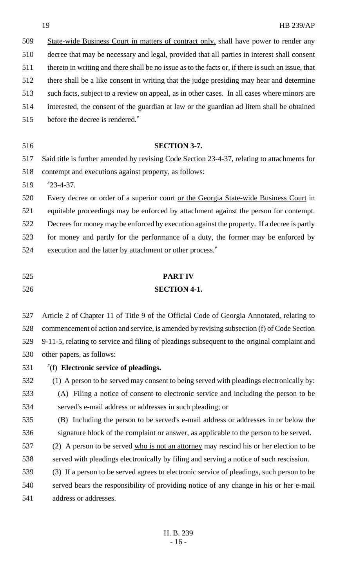| 509 | State-wide Business Court in matters of contract only, shall have power to render any              |
|-----|----------------------------------------------------------------------------------------------------|
| 510 | decree that may be necessary and legal, provided that all parties in interest shall consent        |
| 511 | thereto in writing and there shall be no issue as to the facts or, if there is such an issue, that |
| 512 | there shall be a like consent in writing that the judge presiding may hear and determine           |
| 513 | such facts, subject to a review on appeal, as in other cases. In all cases where minors are        |
| 514 | interested, the consent of the guardian at law or the guardian ad litem shall be obtained          |
| 515 | before the decree is rendered."                                                                    |
|     |                                                                                                    |
| 516 | <b>SECTION 3-7.</b>                                                                                |
| 517 | Said title is further amended by revising Code Section 23-4-37, relating to attachments for        |
| 518 | contempt and executions against property, as follows:                                              |
|     |                                                                                                    |

"23-4-37.

 Every decree or order of a superior court or the Georgia State-wide Business Court in equitable proceedings may be enforced by attachment against the person for contempt. Decrees for money may be enforced by execution against the property. If a decree is partly for money and partly for the performance of a duty, the former may be enforced by execution and the latter by attachment or other process."

**PART IV**

# **SECTION 4-1.**

 Article 2 of Chapter 11 of Title 9 of the Official Code of Georgia Annotated, relating to commencement of action and service, is amended by revising subsection (f) of Code Section 9-11-5, relating to service and filing of pleadings subsequent to the original complaint and other papers, as follows:

- "(f) **Electronic service of pleadings.**
- (1) A person to be served may consent to being served with pleadings electronically by:
- (A) Filing a notice of consent to electronic service and including the person to be served's e-mail address or addresses in such pleading; or
- (B) Including the person to be served's e-mail address or addresses in or below the signature block of the complaint or answer, as applicable to the person to be served.
- 537 (2) A person to be served who is not an attorney may rescind his or her election to be served with pleadings electronically by filing and serving a notice of such rescission.
- (3) If a person to be served agrees to electronic service of pleadings, such person to be served bears the responsibility of providing notice of any change in his or her e-mail address or addresses.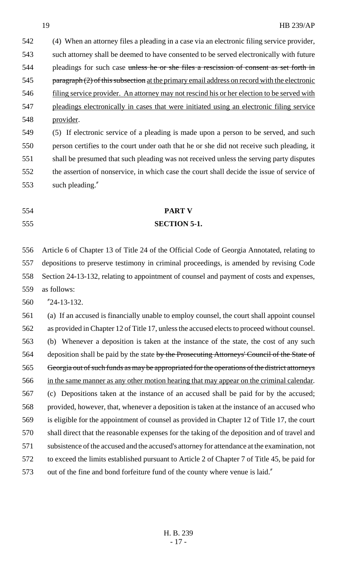(4) When an attorney files a pleading in a case via an electronic filing service provider, such attorney shall be deemed to have consented to be served electronically with future 544 pleadings for such case unless he or she files a rescission of consent as set forth in 545 paragraph (2) of this subsection at the primary email address on record with the electronic filing service provider. An attorney may not rescind his or her election to be served with pleadings electronically in cases that were initiated using an electronic filing service provider.

 (5) If electronic service of a pleading is made upon a person to be served, and such person certifies to the court under oath that he or she did not receive such pleading, it shall be presumed that such pleading was not received unless the serving party disputes the assertion of nonservice, in which case the court shall decide the issue of service of such pleading."

 **PART V SECTION 5-1.**

 Article 6 of Chapter 13 of Title 24 of the Official Code of Georgia Annotated, relating to depositions to preserve testimony in criminal proceedings, is amended by revising Code Section 24-13-132, relating to appointment of counsel and payment of costs and expenses, as follows:

"24-13-132.

 (a) If an accused is financially unable to employ counsel, the court shall appoint counsel as provided in Chapter 12 of Title 17, unless the accused elects to proceed without counsel. (b) Whenever a deposition is taken at the instance of the state, the cost of any such 564 deposition shall be paid by the state by the Prosecuting Attorneys' Council of the State of Georgia out of such funds as may be appropriated for the operations of the district attorneys in the same manner as any other motion hearing that may appear on the criminal calendar. (c) Depositions taken at the instance of an accused shall be paid for by the accused; provided, however, that, whenever a deposition is taken at the instance of an accused who is eligible for the appointment of counsel as provided in Chapter 12 of Title 17, the court shall direct that the reasonable expenses for the taking of the deposition and of travel and subsistence of the accused and the accused's attorney for attendance at the examination, not to exceed the limits established pursuant to Article 2 of Chapter 7 of Title 45, be paid for out of the fine and bond forfeiture fund of the county where venue is laid."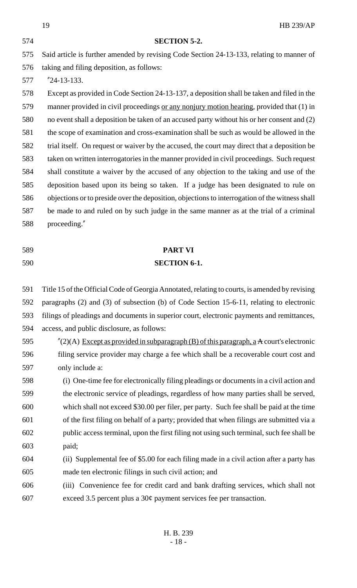|     | 19<br><b>HB 239/AP</b>                                                                                    |
|-----|-----------------------------------------------------------------------------------------------------------|
| 574 | <b>SECTION 5-2.</b>                                                                                       |
| 575 | Said article is further amended by revising Code Section 24-13-133, relating to manner of                 |
| 576 | taking and filing deposition, as follows:                                                                 |
| 577 | $"24-13-133.$                                                                                             |
| 578 | Except as provided in Code Section 24-13-137, a deposition shall be taken and filed in the                |
| 579 | manner provided in civil proceedings or any nonjury motion hearing, provided that (1) in                  |
| 580 | no event shall a deposition be taken of an accused party without his or her consent and (2)               |
| 581 | the scope of examination and cross-examination shall be such as would be allowed in the                   |
| 582 | trial itself. On request or waiver by the accused, the court may direct that a deposition be              |
| 583 | taken on written interrogatories in the manner provided in civil proceedings. Such request                |
| 584 | shall constitute a waiver by the accused of any objection to the taking and use of the                    |
| 585 | deposition based upon its being so taken. If a judge has been designated to rule on                       |
| 586 | objections or to preside over the deposition, objections to interrogation of the witness shall            |
| 587 | be made to and ruled on by such judge in the same manner as at the trial of a criminal                    |
| 588 | proceeding."                                                                                              |
| 589 | <b>PART VI</b>                                                                                            |
| 590 | <b>SECTION 6-1.</b>                                                                                       |
| 591 | Title 15 of the Official Code of Georgia Annotated, relating to courts, is amended by revising            |
| 592 | paragraphs (2) and (3) of subsection (b) of Code Section 15-6-11, relating to electronic                  |
| 593 | filings of pleadings and documents in superior court, electronic payments and remittances,                |
| 594 | access, and public disclosure, as follows:                                                                |
| 595 | $^{\prime\prime}(2)$ (A) Except as provided in subparagraph (B) of this paragraph, a A court's electronic |
| 596 | filing service provider may charge a fee which shall be a recoverable court cost and                      |
| 597 | only include a:                                                                                           |
| 598 | (i) One-time fee for electronically filing pleadings or documents in a civil action and                   |
| 599 | the electronic service of pleadings, regardless of how many parties shall be served,                      |
| 600 | which shall not exceed \$30.00 per filer, per party. Such fee shall be paid at the time                   |
|     |                                                                                                           |

 of the first filing on behalf of a party; provided that when filings are submitted via a public access terminal, upon the first filing not using such terminal, such fee shall be paid;

- (ii) Supplemental fee of \$5.00 for each filing made in a civil action after a party has made ten electronic filings in such civil action; and
- (iii) Convenience fee for credit card and bank drafting services, which shall not exceed 3.5 percent plus a 30¢ payment services fee per transaction.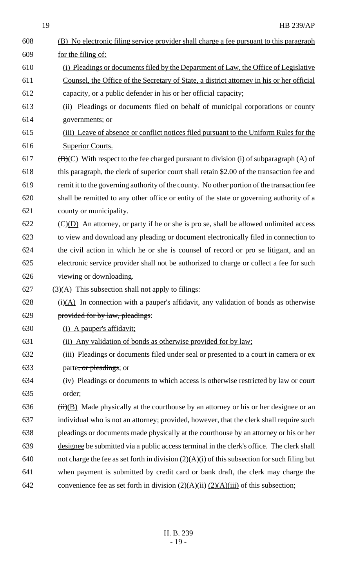19 HB 239/AP

| 608 | (B) No electronic filing service provider shall charge a fee pursuant to this paragraph             |
|-----|-----------------------------------------------------------------------------------------------------|
| 609 | for the filing of:                                                                                  |
| 610 | (i) Pleadings or documents filed by the Department of Law, the Office of Legislative                |
| 611 | Counsel, the Office of the Secretary of State, a district attorney in his or her official           |
| 612 | capacity, or a public defender in his or her official capacity;                                     |
| 613 | (ii) Pleadings or documents filed on behalf of municipal corporations or county                     |
| 614 | governments; or                                                                                     |
| 615 | (iii) Leave of absence or conflict notices filed pursuant to the Uniform Rules for the              |
| 616 | <b>Superior Courts.</b>                                                                             |
| 617 | $(\overline{B})(C)$ With respect to the fee charged pursuant to division (i) of subparagraph (A) of |
| 618 | this paragraph, the clerk of superior court shall retain \$2.00 of the transaction fee and          |
| 619 | remit it to the governing authority of the county. No other portion of the transaction fee          |
| 620 | shall be remitted to any other office or entity of the state or governing authority of a            |
| 621 | county or municipality.                                                                             |
| 622 | $\overline{(C)(D)}$ An attorney, or party if he or she is pro se, shall be allowed unlimited access |
| 623 | to view and download any pleading or document electronically filed in connection to                 |
| 624 | the civil action in which he or she is counsel of record or pro se litigant, and an                 |
| 625 | electronic service provider shall not be authorized to charge or collect a fee for such             |
| 626 | viewing or downloading.                                                                             |
| 627 | $(3)$ (A) This subsection shall not apply to filings:                                               |
| 628 | $(ii)(A)$ In connection with a pauper's affidavit, any validation of bonds as otherwise             |
| 629 | provided for by law, pleadings:                                                                     |
| 630 | (i) A pauper's affidavit;                                                                           |
| 631 | (ii) Any validation of bonds as otherwise provided for by law;                                      |
| 632 | (iii) Pleadings or documents filed under seal or presented to a court in camera or ex               |
| 633 | parte, or pleadings; or                                                                             |
| 634 | (iv) Pleadings or documents to which access is otherwise restricted by law or court                 |
| 635 | order;                                                                                              |
| 636 | $\overline{(ii)(B)}$ Made physically at the courthouse by an attorney or his or her designee or an  |
| 637 | individual who is not an attorney; provided, however, that the clerk shall require such             |
| 638 | pleadings or documents made physically at the courthouse by an attorney or his or her               |
| 639 | designee be submitted via a public access terminal in the clerk's office. The clerk shall           |
| 640 | not charge the fee as set forth in division $(2)(A)(i)$ of this subsection for such filing but      |
| 641 | when payment is submitted by credit card or bank draft, the clerk may charge the                    |
| 642 | convenience fee as set forth in division $(2)(A)(ii)$ $(2)(A)(iii)$ of this subsection;             |
|     |                                                                                                     |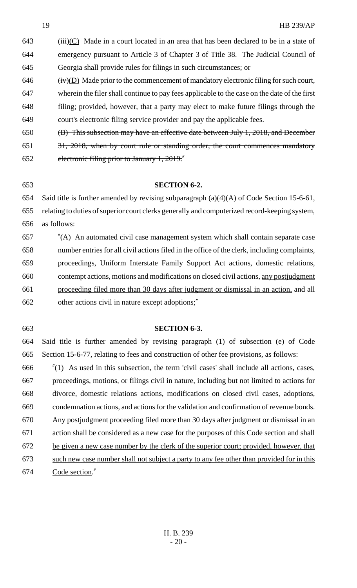(iii)(C) Made in a court located in an area that has been declared to be in a state of emergency pursuant to Article 3 of Chapter 3 of Title 38. The Judicial Council of Georgia shall provide rules for filings in such circumstances; or (iv)(D) Made prior to the commencement of mandatory electronic filing for such court, wherein the filer shall continue to pay fees applicable to the case on the date of the first filing; provided, however, that a party may elect to make future filings through the court's electronic filing service provider and pay the applicable fees. (B) This subsection may have an effective date between July 1, 2018, and December

31, 2018, when by court rule or standing order, the court commences mandatory

electronic filing prior to January 1, 2019."

#### **SECTION 6-2.**

Said title is further amended by revising subparagraph (a)(4)(A) of Code Section 15-6-61,

 relating to duties of superior court clerks generally and computerized record-keeping system, as follows:

 "(A) An automated civil case management system which shall contain separate case number entries for all civil actions filed in the office of the clerk, including complaints, proceedings, Uniform Interstate Family Support Act actions, domestic relations, contempt actions, motions and modifications on closed civil actions, any postjudgment proceeding filed more than 30 days after judgment or dismissal in an action, and all other actions civil in nature except adoptions;"

#### **SECTION 6-3.**

 Said title is further amended by revising paragraph (1) of subsection (e) of Code Section 15-6-77, relating to fees and construction of other fee provisions, as follows:

 "(1) As used in this subsection, the term 'civil cases' shall include all actions, cases, proceedings, motions, or filings civil in nature, including but not limited to actions for divorce, domestic relations actions, modifications on closed civil cases, adoptions, condemnation actions, and actions for the validation and confirmation of revenue bonds. Any postjudgment proceeding filed more than 30 days after judgment or dismissal in an action shall be considered as a new case for the purposes of this Code section and shall 672 be given a new case number by the clerk of the superior court; provided, however, that such new case number shall not subject a party to any fee other than provided for in this Code section."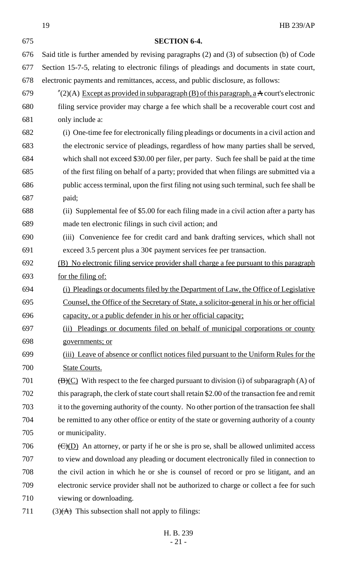19 HB 239/AP **SECTION 6-4.** Said title is further amended by revising paragraphs (2) and (3) of subsection (b) of Code Section 15-7-5, relating to electronic filings of pleadings and documents in state court, electronic payments and remittances, access, and public disclosure, as follows:  $\frac{\pi}{2}(2)$ (A) Except as provided in subparagraph (B) of this paragraph, a A court's electronic filing service provider may charge a fee which shall be a recoverable court cost and only include a: (i) One-time fee for electronically filing pleadings or documents in a civil action and the electronic service of pleadings, regardless of how many parties shall be served, which shall not exceed \$30.00 per filer, per party. Such fee shall be paid at the time of the first filing on behalf of a party; provided that when filings are submitted via a public access terminal, upon the first filing not using such terminal, such fee shall be paid; (ii) Supplemental fee of \$5.00 for each filing made in a civil action after a party has made ten electronic filings in such civil action; and (iii) Convenience fee for credit card and bank drafting services, which shall not exceed 3.5 percent plus a 30¢ payment services fee per transaction. (B) No electronic filing service provider shall charge a fee pursuant to this paragraph for the filing of: (i) Pleadings or documents filed by the Department of Law, the Office of Legislative Counsel, the Office of the Secretary of State, a solicitor-general in his or her official capacity, or a public defender in his or her official capacity; (ii) Pleadings or documents filed on behalf of municipal corporations or county governments; or (iii) Leave of absence or conflict notices filed pursuant to the Uniform Rules for the State Courts.  $(B)(C)$  With respect to the fee charged pursuant to division (i) of subparagraph (A) of this paragraph, the clerk of state court shall retain \$2.00 of the transaction fee and remit it to the governing authority of the county. No other portion of the transaction fee shall be remitted to any other office or entity of the state or governing authority of a county or municipality.  $\left(\frac{C}{D}\right)$  An attorney, or party if he or she is pro se, shall be allowed unlimited access to view and download any pleading or document electronically filed in connection to the civil action in which he or she is counsel of record or pro se litigant, and an electronic service provider shall not be authorized to charge or collect a fee for such viewing or downloading.

711 (3) $(A)$  This subsection shall not apply to filings: